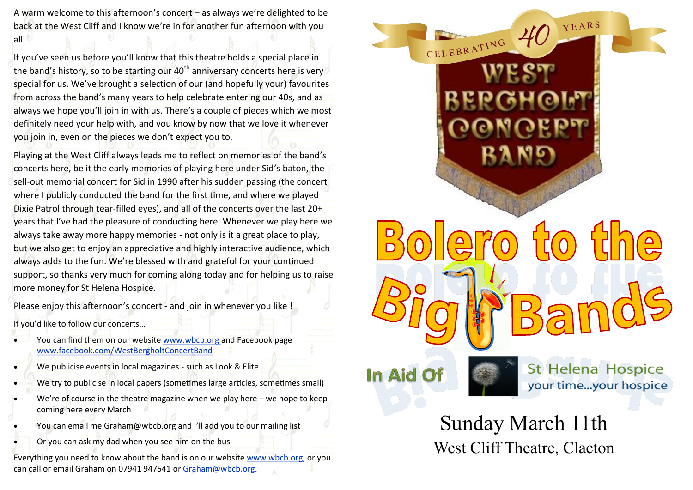A warm welcome to this afternoon's concert – as always we're delighted to be back at the West Cliff and I know we're in for another fun afternoon with you all.

If you've seen us before you'll know that this theatre holds a special place in the band's history, so to be starting our 40<sup>th</sup> anniversary concerts here is very special for us. We've brought a selection of our (and hopefully your) favourites from across the band's many years to help celebrate entering our 40s, and as always we hope you'll join in with us. There's a couple of pieces which we most definitely need your help with, and you know by now that we love it whenever you join in, even on the pieces we don't expect you to.

Playing at the West Cliff always leads me to reflect on memories of the band's concerts here, be it the early memories of playing here under Sid's baton, the sell-out memorial concert for Sid in 1990 after his sudden passing (the concert where I publicly conducted the band for the first time, and where we played Dixie Patrol through tear-filled eyes), and all of the concerts over the last 20+ years that I've had the pleasure of conducting here. Whenever we play here we always take away more happy memories - not only is it a great place to play, but we also get to enjoy an appreciative and highly interactive audience, which always adds to the fun. We're blessed with and grateful for your continued support, so thanks very much for coming along today and for helping us to raise more money for St Helena Hospice.

Please enjoy this afternoon's concert - and join in whenever you like ! If you'd like to follow our concerts…

- You can find them on our website www.wbcb.org and Facebook page www.facebook.com/WestBergholtConcertBand
- We publicise events in local magazines such as Look & Elite
- We try to publicise in local papers (sometimes large articles, sometimes small)
- We're of course in the theatre magazine when we play here we hope to keep coming here every March
- You can email me Graham@wbcb.org and I'll add you to our mailing list
	- Or you can ask my dad when you see him on the bus

Everything you need to know about the band is on our website www.wbcb.org, or you can call or email Graham on 07941 947541 or Graham@wbcb.org.



West Cliff Theatre, Clacton